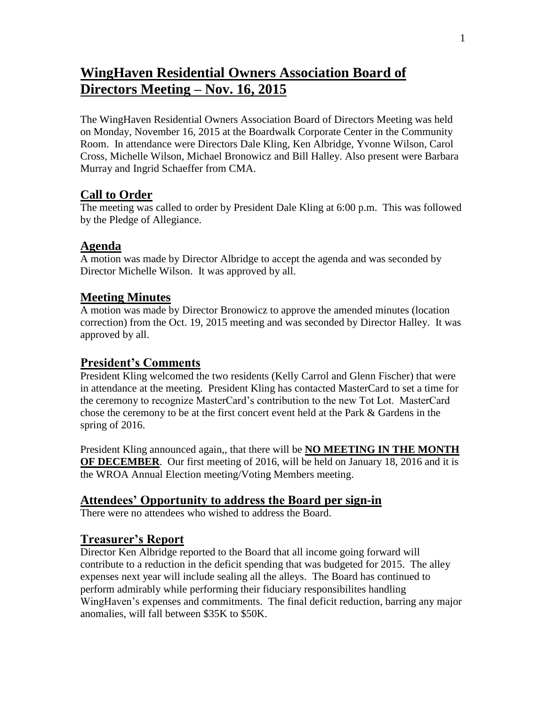# **WingHaven Residential Owners Association Board of Directors Meeting – Nov. 16, 2015**

The WingHaven Residential Owners Association Board of Directors Meeting was held on Monday, November 16, 2015 at the Boardwalk Corporate Center in the Community Room. In attendance were Directors Dale Kling, Ken Albridge, Yvonne Wilson, Carol Cross, Michelle Wilson, Michael Bronowicz and Bill Halley. Also present were Barbara Murray and Ingrid Schaeffer from CMA.

# **Call to Order**

The meeting was called to order by President Dale Kling at 6:00 p.m. This was followed by the Pledge of Allegiance.

# **Agenda**

A motion was made by Director Albridge to accept the agenda and was seconded by Director Michelle Wilson. It was approved by all.

# **Meeting Minutes**

A motion was made by Director Bronowicz to approve the amended minutes (location correction) from the Oct. 19, 2015 meeting and was seconded by Director Halley. It was approved by all.

# **President's Comments**

President Kling welcomed the two residents (Kelly Carrol and Glenn Fischer) that were in attendance at the meeting. President Kling has contacted MasterCard to set a time for the ceremony to recognize MasterCard's contribution to the new Tot Lot. MasterCard chose the ceremony to be at the first concert event held at the Park & Gardens in the spring of 2016.

President Kling announced again,, that there will be **NO MEETING IN THE MONTH OF DECEMBER**. Our first meeting of 2016, will be held on January 18, 2016 and it is the WROA Annual Election meeting/Voting Members meeting.

# **Attendees' Opportunity to address the Board per sign-in**

There were no attendees who wished to address the Board.

# **Treasurer's Report**

Director Ken Albridge reported to the Board that all income going forward will contribute to a reduction in the deficit spending that was budgeted for 2015. The alley expenses next year will include sealing all the alleys. The Board has continued to perform admirably while performing their fiduciary responsibilites handling WingHaven's expenses and commitments. The final deficit reduction, barring any major anomalies, will fall between \$35K to \$50K.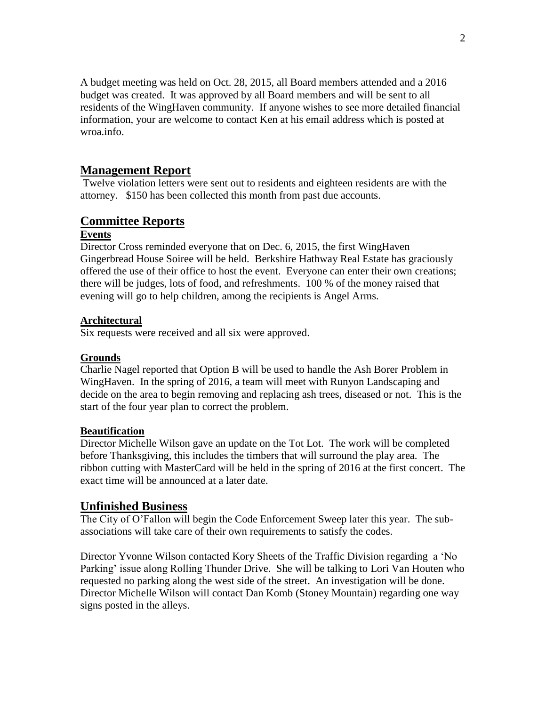A budget meeting was held on Oct. 28, 2015, all Board members attended and a 2016 budget was created. It was approved by all Board members and will be sent to all residents of the WingHaven community. If anyone wishes to see more detailed financial information, your are welcome to contact Ken at his email address which is posted at wroa.info.

## **Management Report**

Twelve violation letters were sent out to residents and eighteen residents are with the attorney. \$150 has been collected this month from past due accounts.

## **Committee Reports**

#### **Events**

Director Cross reminded everyone that on Dec. 6, 2015, the first WingHaven Gingerbread House Soiree will be held. Berkshire Hathway Real Estate has graciously offered the use of their office to host the event. Everyone can enter their own creations; there will be judges, lots of food, and refreshments. 100 % of the money raised that evening will go to help children, among the recipients is Angel Arms.

### **Architectural**

Six requests were received and all six were approved.

#### **Grounds**

Charlie Nagel reported that Option B will be used to handle the Ash Borer Problem in WingHaven. In the spring of 2016, a team will meet with Runyon Landscaping and decide on the area to begin removing and replacing ash trees, diseased or not. This is the start of the four year plan to correct the problem.

#### **Beautification**

Director Michelle Wilson gave an update on the Tot Lot. The work will be completed before Thanksgiving, this includes the timbers that will surround the play area. The ribbon cutting with MasterCard will be held in the spring of 2016 at the first concert. The exact time will be announced at a later date.

### **Unfinished Business**

The City of O'Fallon will begin the Code Enforcement Sweep later this year. The subassociations will take care of their own requirements to satisfy the codes.

Director Yvonne Wilson contacted Kory Sheets of the Traffic Division regarding a 'No Parking' issue along Rolling Thunder Drive. She will be talking to Lori Van Houten who requested no parking along the west side of the street. An investigation will be done. Director Michelle Wilson will contact Dan Komb (Stoney Mountain) regarding one way signs posted in the alleys.